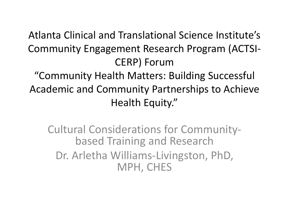Atlanta Clinical and Translational Science Institute's Community Engagement Research Program (ACTSI-CERP) Forum "Community Health Matters: Building Successful Academic and Community Partnerships to Achieve Health Equity."

Cultural Considerations for Community- based Training and Research Dr. Arletha Williams-Livingston, PhD, MPH, CHES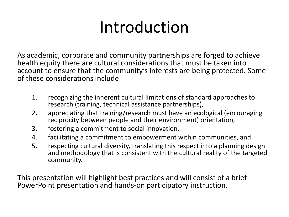# Introduction

As academic, corporate and community partnerships are forged to achieve health equity there are cultural considerations that must be taken into account to ensure that the community's interests are being protected. Some of these considerations include:

- 1. recognizing the inherent cultural limitations of standard approaches to research (training, technical assistance partnerships),
- 2. appreciating that training/research must have an ecological (encouraging reciprocity between people and their environment) orientation,
- 3. fostering a commitment to social innovation,
- 4. facilitating a commitment to empowerment within communities, and
- 5. respecting cultural diversity, translating this respect into a planning design and methodology that is consistent with the cultural reality of the targeted community.

This presentation will highlight best practices and will consist of a brief PowerPoint presentation and hands-on participatory instruction.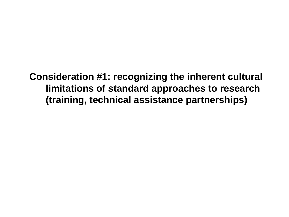**Consideration #1: recognizing the inherent cultural limitations of standard approaches to research (training, technical assistance partnerships)**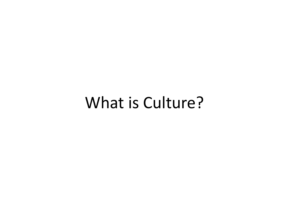## What is Culture?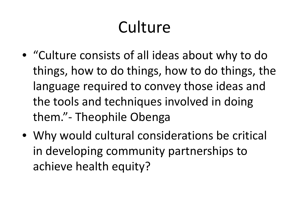# Culture

- "Culture consists of all ideas about why to do things, how to do things, how to do things, the language required to convey those ideas and the tools and techniques involved in doing them."- Theophile Obenga
- Why would cultural considerations be critical in developing community partnerships to achieve health equity?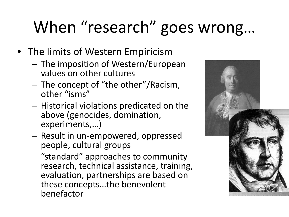# When "research" goes wrong…

- The limits of Western Empiricism
	- The imposition of Western/European values on other cultures
	- The concept of "the other"/Racism, other "isms"
	- Historical violations predicated on the above (genocides, domination, experiments,…)
	- Result in un-empowered, oppressed people, cultural groups
	- "standard" approaches to community research, technical assistance, training, evaluation, partnerships are based on these concepts…the benevolent benefactor

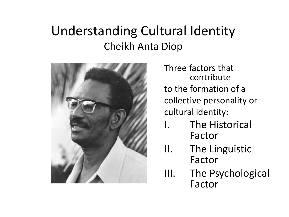### Understanding Cultural Identity Cheikh Anta Diop



Three factors that contribute to the formation of a collective personality or cultural identity:

- The Historical Factor
- II. The Linguistic Factor
- III. The Psychological Factor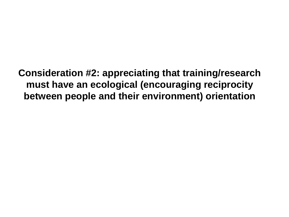**Consideration #2: appreciating that training/research must have an ecological (encouraging reciprocity between people and their environment) orientation**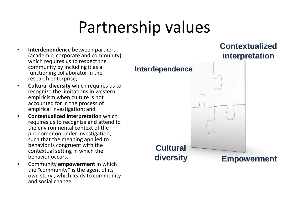# Partnership values

- **Interdependence** between partners (academic, corporate and community) which requires us to respect the community by including it as a functioning collaborator in the research enterprise;
- **Cultural diversity** which requires us to recognize the limitations in western empiricism when culture is not accounted for in the process of empirical investigation; and
- **Contextualized interpretation** which requires us to recognize and attend to the environmental context of the phenomenon under investigation, such that the meaning applied to behavior is congruent with the contextual setting in which the behavior occurs.
- Community **empowerment** in which the "community" is the agent of its own story , which leads to community and social change

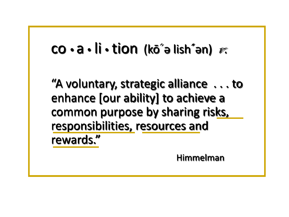### co a li tion (kō´ə lish**´**ən) v.

"A voluntary, strategic alliance . . . to enhance [our ability] to achieve a common purpose by sharing risks, responsibilities, resources and rewards."

Himmelman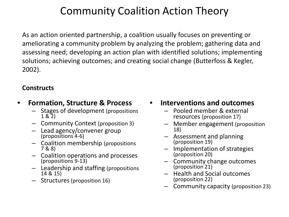### Community Coalition Action Theory

As an action oriented partnership, a coalition usually focuses on preventing or ameliorating a community problem by analyzing the problem; gathering data and assessing need; developing an action plan with identified solutions; implementing solutions; achieving outcomes; and creating social change (Butterfoss & Kegler, 2002).

### **Constructs**

- **Formation, Structure & Process**
	- Stages of development (propositions 1 & 2)
	- Community Context (proposition 3)
	- Lead agency/convener group (propositions 4-6)
	- Coalition membership (propositions 7 & 8)
	- Coalition operations and processes (propositions 9-13)
	- Leadership and staffing (propositions 14 & 15)
	- Structures (proposition 16)
- **Interventions and outcomes**
	- Pooled member & external resources (proposition 17)
	- Member engagement (proposition 18)
	- Assessment and planning (proposition 19)
	- Implementation of strategies (proposition 20)
	- Community change outcomes (proposition 21)
	- Health and Social outcomes (proposition 22)
	- Community capacity (proposition 23)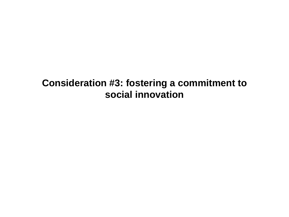### **Consideration #3: fostering a commitment to social innovation**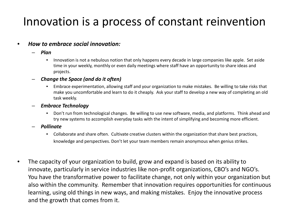### Innovation is a process of constant reinvention

#### • *How to embrace social innovation:*

- *Plan*
	- Innovation is not a nebulous notion that only happens every decade in large companies like apple. Set aside time in your weekly, monthly or even daily meetings where staff have an opportunity to share ideas and projects.
- *Change the Space (and do it often)*
	- Embrace experimentation, allowing staff and your organization to make mistakes. Be willing to take risks that make you uncomfortable and learn to do it cheaply. Ask your staff to develop a new way of completing an old task weekly.
- *Embrace Technology*
	- Don't run from technological changes. Be willing to use new software, media, and platforms. Think ahead and try new systems to accomplish everyday tasks with the intent of simplifying and becoming more efficient.
- *Pollinate*
	- Collaborate and share often. Cultivate creative clusters within the organization that share best practices, knowledge and perspectives. Don't let your team members remain anonymous when genius strikes.
- The capacity of your organization to build, grow and expand is based on its ability to innovate, particularly in service industries like non-profit organizations, CBO's and NGO's. You have the transformative power to facilitate change, not only within your organization but also within the community. Remember that innovation requires opportunities for continuous learning, using old things in new ways, and making mistakes. Enjoy the innovative process and the growth that comes from it.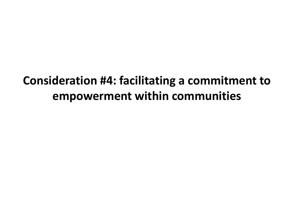### **Consideration #4: facilitating a commitment to empowerment within communities**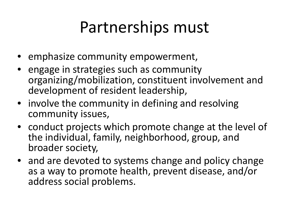# Partnerships must

- emphasize community empowerment,
- engage in strategies such as community organizing/mobilization, constituent involvement and development of resident leadership,
- involve the community in defining and resolving community issues,
- conduct projects which promote change at the level of the individual, family, neighborhood, group, and broader society,
- and are devoted to systems change and policy change as a way to promote health, prevent disease, and/or address social problems.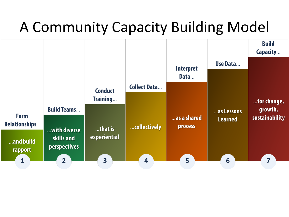## A Community Capacity Building Model

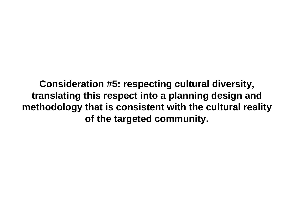**Consideration #5: respecting cultural diversity, translating this respect into a planning design and methodology that is consistent with the cultural reality of the targeted community.**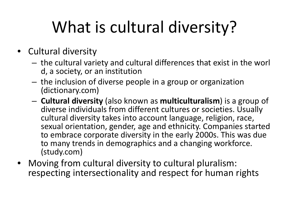# What is cultural diversity?

- Cultural diversity
	- the cultural variety and cultural differences that exist in the worl d, a society, or an institution
	- the inclusion of diverse people in a group or organization (dictionary.com)
	- **Cultural diversity** (also known as **multiculturalism**) is a group of diverse individuals from different cultures or societies. Usually cultural diversity takes into account language, religion, race, sexual orientation, gender, age and ethnicity. Companies started to embrace corporate diversity in the early 2000s. This was due to many trends in demographics and a changing workforce. (study.com)
- Moving from cultural diversity to cultural pluralism: respecting intersectionality and respect for human rights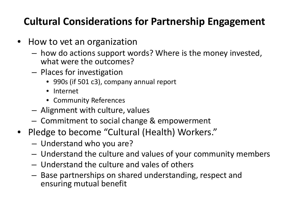### **Cultural Considerations for Partnership Engagement**

- How to vet an organization
	- how do actions support words? Where is the money invested, what were the outcomes?
	- Places for investigation
		- 990s (if 501 c3), company annual report
		- Internet
		- Community References
	- Alignment with culture, values
	- Commitment to social change & empowerment
- Pledge to become "Cultural (Health) Workers."
	- Understand who you are?
	- Understand the culture and values of your community members
	- Understand the culture and vales of others
	- Base partnerships on shared understanding, respect and ensuring mutual benefit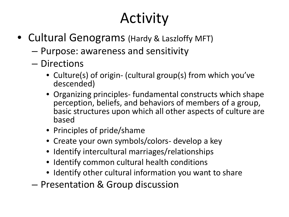## Activity

- Cultural Genograms (Hardy & Laszloffy MFT)
	- Purpose: awareness and sensitivity
	- Directions
		- Culture(s) of origin- (cultural group(s) from which you've descended)
		- Organizing principles- fundamental constructs which shape perception, beliefs, and behaviors of members of a group, basic structures upon which all other aspects of culture are based
		- Principles of pride/shame
		- Create your own symbols/colors- develop a key
		- Identify intercultural marriages/relationships
		- Identify common cultural health conditions
		- Identify other cultural information you want to share
	- Presentation & Group discussion